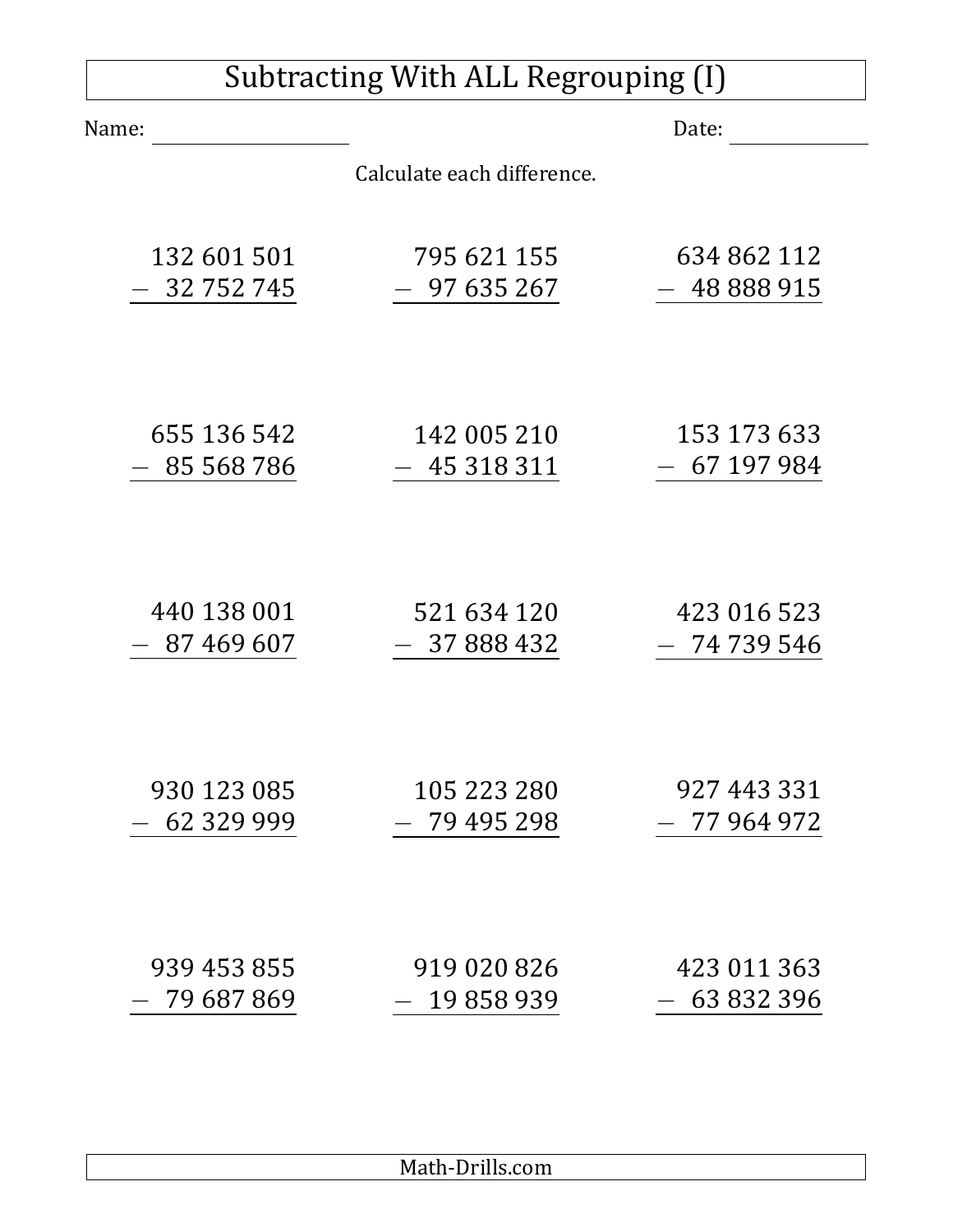## Subtracting With ALL Regrouping (I)

| Name:       |                            | Date:       |
|-------------|----------------------------|-------------|
|             | Calculate each difference. |             |
| 132 601 501 | 795 621 155                | 634 862 112 |
| 32 752 745  | $-97635267$                | 48 888 915  |
| 655 136 542 | 142 005 210                | 153 173 633 |
| 85 568 786  | $-45318311$                | $-67197984$ |
| 440 138 001 | 521 634 120                | 423 016 523 |
| 87 469 607  | 37 888 432                 | 74 739 546  |
| 930 123 085 | 105 223 280                | 927 443 331 |
| 62 329 999  | 79 495 298                 | 77 964 972  |
| 939 453 855 | 919 020 826                | 423 011 363 |
| 79 687 869  | 19858939                   | 63 832 396  |